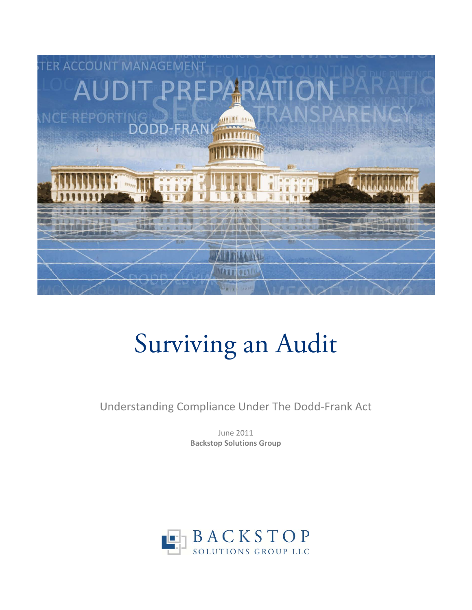

# Surviving an Audit

Understanding Compliance Under The Dodd-Frank Act

June 2011 **Backstop Solutions Group**

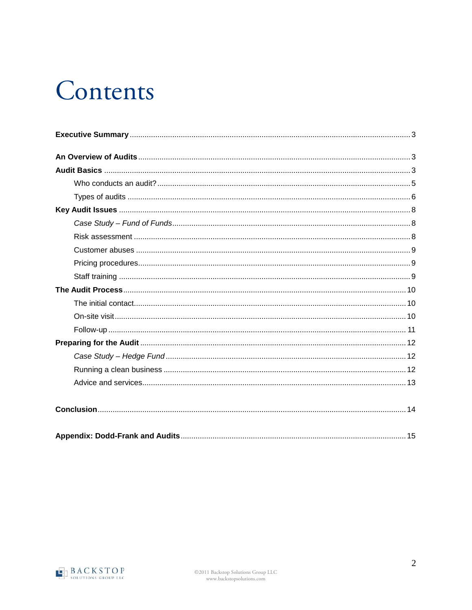# Contents

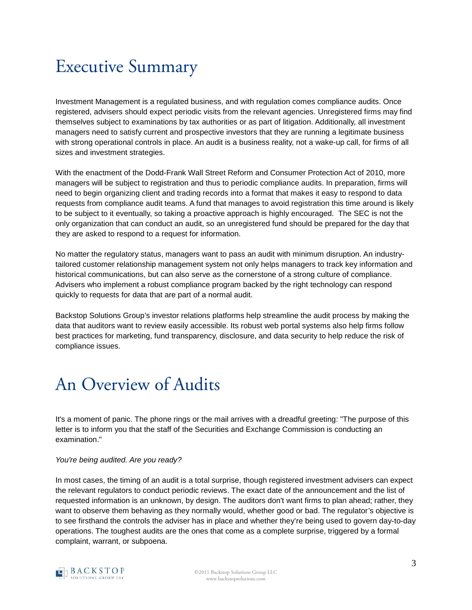### <span id="page-2-0"></span>Executive Summary

Investment Management is a regulated business, and with regulation comes compliance audits. Once registered, advisers should expect periodic visits from the relevant agencies. Unregistered firms may find themselves subject to examinations by tax authorities or as part of litigation. Additionally, all investment managers need to satisfy current and prospective investors that they are running a legitimate business with strong operational controls in place. An audit is a business reality, not a wake-up call, for firms of all sizes and investment strategies.

With the enactment of the Dodd-Frank Wall Street Reform and Consumer Protection Act of 2010, more managers will be subject to registration and thus to periodic compliance audits. In preparation, firms will need to begin organizing client and trading records into a format that makes it easy to respond to data requests from compliance audit teams. A fund that manages to avoid registration this time around is likely to be subject to it eventually, so taking a proactive approach is highly encouraged. The SEC is not the only organization that can conduct an audit, so an unregistered fund should be prepared for the day that they are asked to respond to a request for information.

No matter the regulatory status, managers want to pass an audit with minimum disruption. An industrytailored customer relationship management system not only helps managers to track key information and historical communications, but can also serve as the cornerstone of a strong culture of compliance. Advisers who implement a robust compliance program backed by the right technology can respond quickly to requests for data that are part of a normal audit.

Backstop Solutions Group's investor relations platforms help streamline the audit process by making the data that auditors want to review easily accessible. Its robust web portal systems also help firms follow best practices for marketing, fund transparency, disclosure, and data security to help reduce the risk of compliance issues.

### <span id="page-2-1"></span>An Overview of Audits

It's a moment of panic. The phone rings or the mail arrives with a dreadful greeting: "The purpose of this letter is to inform you that the staff of the Securities and Exchange Commission is conducting an examination."

#### *You're being audited. Are you ready?*

<span id="page-2-2"></span>In most cases, the timing of an audit is a total surprise, though registered investment advisers can expect the relevant regulators to conduct periodic reviews. The exact date of the announcement and the list of requested information is an unknown, by design. The auditors don't want firms to plan ahead; rather, they want to observe them behaving as they normally would, whether good or bad. The regulator's objective is to see firsthand the controls the adviser has in place and whether they're being used to govern day-to-day operations. The toughest audits are the ones that come as a complete surprise, triggered by a formal complaint, warrant, or subpoena.

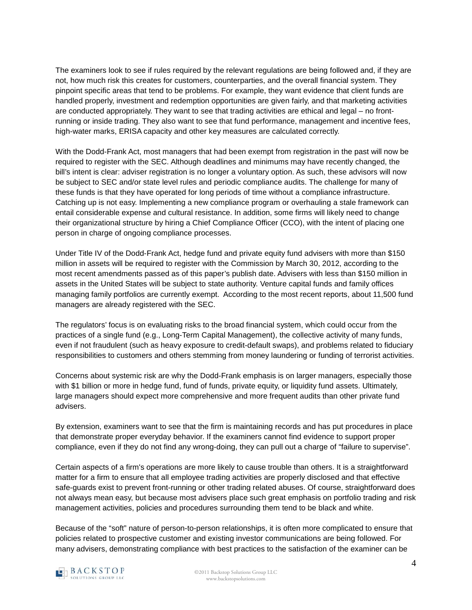The examiners look to see if rules required by the relevant regulations are being followed and, if they are not, how much risk this creates for customers, counterparties, and the overall financial system. They pinpoint specific areas that tend to be problems. For example, they want evidence that client funds are handled properly, investment and redemption opportunities are given fairly, and that marketing activities are conducted appropriately. They want to see that trading activities are ethical and legal – no frontrunning or inside trading. They also want to see that fund performance, management and incentive fees, high-water marks, ERISA capacity and other key measures are calculated correctly.

With the Dodd-Frank Act, most managers that had been exempt from registration in the past will now be required to register with the SEC. Although deadlines and minimums may have recently changed, the bill's intent is clear: adviser registration is no longer a voluntary option. As such, these advisors will now be subject to SEC and/or state level rules and periodic compliance audits. The challenge for many of these funds is that they have operated for long periods of time without a compliance infrastructure. Catching up is not easy. Implementing a new compliance program or overhauling a stale framework can entail considerable expense and cultural resistance. In addition, some firms will likely need to change their organizational structure by hiring a Chief Compliance Officer (CCO), with the intent of placing one person in charge of ongoing compliance processes.

Under Title IV of the Dodd-Frank Act, hedge fund and private equity fund advisers with more than \$150 million in assets will be required to register with the Commission by March 30, 2012, according to the most recent amendments passed as of this paper's publish date. Advisers with less than \$150 million in assets in the United States will be subject to state authority. Venture capital funds and family offices managing family portfolios are currently exempt. According to the most recent reports, about 11,500 fund managers are already registered with the SEC.

The regulators' focus is on evaluating risks to the broad financial system, which could occur from the practices of a single fund (e.g., Long-Term Capital Management), the collective activity of many funds, even if not fraudulent (such as heavy exposure to credit-default swaps), and problems related to fiduciary responsibilities to customers and others stemming from money laundering or funding of terrorist activities.

Concerns about systemic risk are why the Dodd-Frank emphasis is on larger managers, especially those with \$1 billion or more in hedge fund, fund of funds, private equity, or liquidity fund assets. Ultimately, large managers should expect more comprehensive and more frequent audits than other private fund advisers.

By extension, examiners want to see that the firm is maintaining records and has put procedures in place that demonstrate proper everyday behavior. If the examiners cannot find evidence to support proper compliance, even if they do not find any wrong-doing, they can pull out a charge of "failure to supervise".

Certain aspects of a firm's operations are more likely to cause trouble than others. It is a straightforward matter for a firm to ensure that all employee trading activities are properly disclosed and that effective safe-guards exist to prevent front-running or other trading related abuses. Of course, straightforward does not always mean easy, but because most advisers place such great emphasis on portfolio trading and risk management activities, policies and procedures surrounding them tend to be black and white.

Because of the "soft" nature of person-to-person relationships, it is often more complicated to ensure that policies related to prospective customer and existing investor communications are being followed. For many advisers, demonstrating compliance with best practices to the satisfaction of the examiner can be

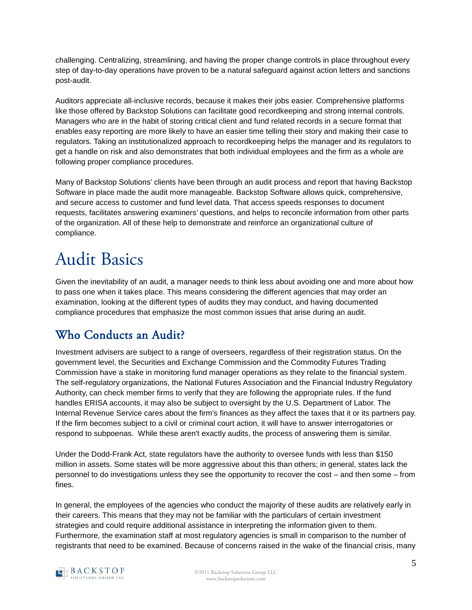challenging. Centralizing, streamlining, and having the proper change controls in place throughout every step of day-to-day operations have proven to be a natural safeguard against action letters and sanctions post-audit.

Auditors appreciate all-inclusive records, because it makes their jobs easier. Comprehensive platforms like those offered by Backstop Solutions can facilitate good recordkeeping and strong internal controls. Managers who are in the habit of storing critical client and fund related records in a secure format that enables easy reporting are more likely to have an easier time telling their story and making their case to regulators. Taking an institutionalized approach to recordkeeping helps the manager and its regulators to get a handle on risk and also demonstrates that both individual employees and the firm as a whole are following proper compliance procedures.

Many of Backstop Solutions' clients have been through an audit process and report that having Backstop Software in place made the audit more manageable. Backstop Software allows quick, comprehensive, and secure access to customer and fund level data. That access speeds responses to document requests, facilitates answering examiners' questions, and helps to reconcile information from other parts of the organization. All of these help to demonstrate and reinforce an organizational culture of compliance.

## Audit Basics

Given the inevitability of an audit, a manager needs to think less about avoiding one and more about how to pass one when it takes place. This means considering the different agencies that may order an examination, looking at the different types of audits they may conduct, and having documented compliance procedures that emphasize the most common issues that arise during an audit.

### <span id="page-4-1"></span><span id="page-4-0"></span>Who Conducts an Audit?

Investment advisers are subject to a range of overseers, regardless of their registration status. On the government level, the Securities and Exchange Commission and the Commodity Futures Trading Commission have a stake in monitoring fund manager operations as they relate to the financial system. The self-regulatory organizations, the National Futures Association and the Financial Industry Regulatory Authority, can check member firms to verify that they are following the appropriate rules. If the fund handles ERISA accounts, it may also be subject to oversight by the U.S. Department of Labor. The Internal Revenue Service cares about the firm's finances as they affect the taxes that it or its partners pay. If the firm becomes subject to a civil or criminal court action, it will have to answer interrogatories or respond to subpoenas. While these aren't exactly audits, the process of answering them is similar.

Under the Dodd-Frank Act, state regulators have the authority to oversee funds with less than \$150 million in assets. Some states will be more aggressive about this than others; in general, states lack the personnel to do investigations unless they see the opportunity to recover the cost – and then some – from fines.

In general, the employees of the agencies who conduct the majority of these audits are relatively early in their careers. This means that they may not be familiar with the particulars of certain investment strategies and could require additional assistance in interpreting the information given to them. Furthermore, the examination staff at most regulatory agencies is small in comparison to the number of registrants that need to be examined. Because of concerns raised in the wake of the financial crisis, many

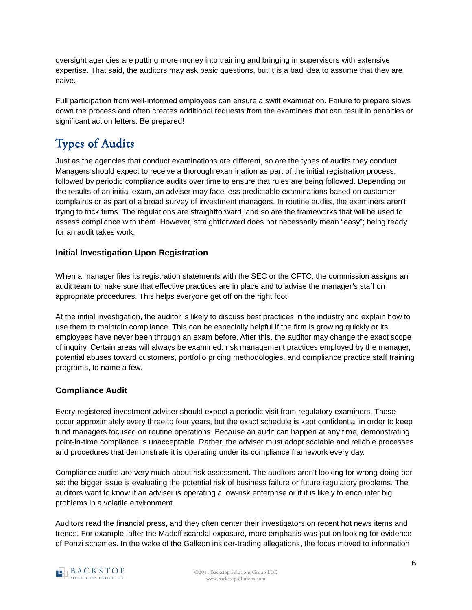oversight agencies are putting more money into training and bringing in supervisors with extensive expertise. That said, the auditors may ask basic questions, but it is a bad idea to assume that they are naive.

Full participation from well-informed employees can ensure a swift examination. Failure to prepare slows down the process and often creates additional requests from the examiners that can result in penalties or significant action letters. Be prepared!

### Types of Audits

Just as the agencies that conduct examinations are different, so are the types of audits they conduct. Managers should expect to receive a thorough examination as part of the initial registration process, followed by periodic compliance audits over time to ensure that rules are being followed. Depending on the results of an initial exam, an adviser may face less predictable examinations based on customer complaints or as part of a broad survey of investment managers. In routine audits, the examiners aren't trying to trick firms. The regulations are straightforward, and so are the frameworks that will be used to assess compliance with them. However, straightforward does not necessarily mean "easy"; being ready for an audit takes work.

#### **Initial Investigation Upon Registration**

When a manager files its registration statements with the SEC or the CFTC, the commission assigns an audit team to make sure that effective practices are in place and to advise the manager's staff on appropriate procedures. This helps everyone get off on the right foot.

At the initial investigation, the auditor is likely to discuss best practices in the industry and explain how to use them to maintain compliance. This can be especially helpful if the firm is growing quickly or its employees have never been through an exam before. After this, the auditor may change the exact scope of inquiry. Certain areas will always be examined: risk management practices employed by the manager, potential abuses toward customers, portfolio pricing methodologies, and compliance practice staff training programs, to name a few.

#### **Compliance Audit**

Every registered investment adviser should expect a periodic visit from regulatory examiners. These occur approximately every three to four years, but the exact schedule is kept confidential in order to keep fund managers focused on routine operations. Because an audit can happen at any time, demonstrating point-in-time compliance is unacceptable. Rather, the adviser must adopt scalable and reliable processes and procedures that demonstrate it is operating under its compliance framework every day.

Compliance audits are very much about risk assessment. The auditors aren't looking for wrong-doing per se; the bigger issue is evaluating the potential risk of business failure or future regulatory problems. The auditors want to know if an adviser is operating a low-risk enterprise or if it is likely to encounter big problems in a volatile environment.

Auditors read the financial press, and they often center their investigators on recent hot news items and trends. For example, after the Madoff scandal exposure, more emphasis was put on looking for evidence of Ponzi schemes. In the wake of the Galleon insider-trading allegations, the focus moved to information

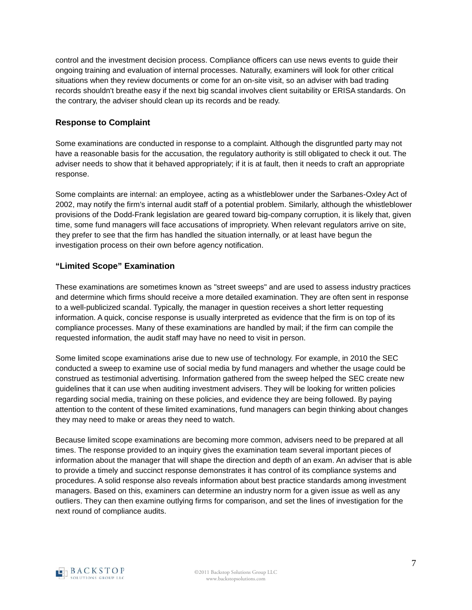control and the investment decision process. Compliance officers can use news events to guide their ongoing training and evaluation of internal processes. Naturally, examiners will look for other critical situations when they review documents or come for an on-site visit, so an adviser with bad trading records shouldn't breathe easy if the next big scandal involves client suitability or ERISA standards. On the contrary, the adviser should clean up its records and be ready.

#### **Response to Complaint**

Some examinations are conducted in response to a complaint. Although the disgruntled party may not have a reasonable basis for the accusation, the regulatory authority is still obligated to check it out. The adviser needs to show that it behaved appropriately; if it is at fault, then it needs to craft an appropriate response.

Some complaints are internal: an employee, acting as a whistleblower under the Sarbanes-Oxley Act of 2002, may notify the firm's internal audit staff of a potential problem. Similarly, although the whistleblower provisions of the Dodd-Frank legislation are geared toward big-company corruption, it is likely that, given time, some fund managers will face accusations of impropriety. When relevant regulators arrive on site, they prefer to see that the firm has handled the situation internally, or at least have begun the investigation process on their own before agency notification.

#### **"Limited Scope" Examination**

These examinations are sometimes known as "street sweeps" and are used to assess industry practices and determine which firms should receive a more detailed examination. They are often sent in response to a well-publicized scandal. Typically, the manager in question receives a short letter requesting information. A quick, concise response is usually interpreted as evidence that the firm is on top of its compliance processes. Many of these examinations are handled by mail; if the firm can compile the requested information, the audit staff may have no need to visit in person.

Some limited scope examinations arise due to new use of technology. For example, in 2010 the SEC conducted a sweep to examine use of social media by fund managers and whether the usage could be construed as testimonial advertising. Information gathered from the sweep helped the SEC create new guidelines that it can use when auditing investment advisers. They will be looking for written policies regarding social media, training on these policies, and evidence they are being followed. By paying attention to the content of these limited examinations, fund managers can begin thinking about changes they may need to make or areas they need to watch.

Because limited scope examinations are becoming more common, advisers need to be prepared at all times. The response provided to an inquiry gives the examination team several important pieces of information about the manager that will shape the direction and depth of an exam. An adviser that is able to provide a timely and succinct response demonstrates it has control of its compliance systems and procedures. A solid response also reveals information about best practice standards among investment managers. Based on this, examiners can determine an industry norm for a given issue as well as any outliers. They can then examine outlying firms for comparison, and set the lines of investigation for the next round of compliance audits.

<span id="page-6-0"></span>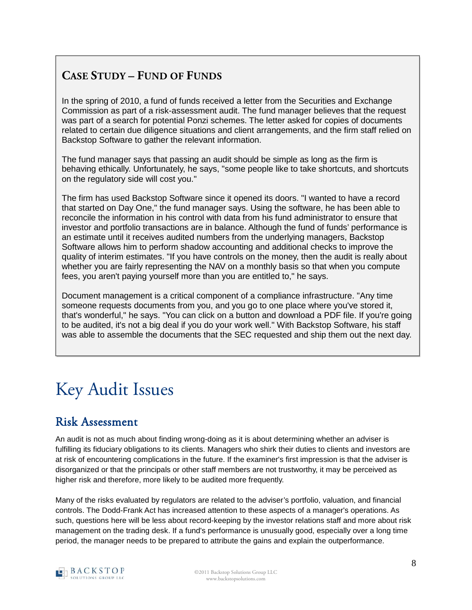#### **CASE STUDY – FUND OF FUNDS**

In the spring of 2010, a fund of funds received a letter from the Securities and Exchange Commission as part of a risk-assessment audit. The fund manager believes that the request was part of a search for potential Ponzi schemes. The letter asked for copies of documents related to certain due diligence situations and client arrangements, and the firm staff relied on Backstop Software to gather the relevant information.

The fund manager says that passing an audit should be simple as long as the firm is behaving ethically. Unfortunately, he says, "some people like to take shortcuts, and shortcuts on the regulatory side will cost you."

The firm has used Backstop Software since it opened its doors. "I wanted to have a record that started on Day One," the fund manager says. Using the software, he has been able to reconcile the information in his control with data from his fund administrator to ensure that investor and portfolio transactions are in balance. Although the fund of funds' performance is an estimate until it receives audited numbers from the underlying managers, Backstop Software allows him to perform shadow accounting and additional checks to improve the quality of interim estimates. "If you have controls on the money, then the audit is really about whether you are fairly representing the NAV on a monthly basis so that when you compute fees, you aren't paying yourself more than you are entitled to," he says.

Document management is a critical component of a compliance infrastructure. "Any time someone requests documents from you, and you go to one place where you've stored it, that's wonderful," he says. "You can click on a button and download a PDF file. If you're going to be audited, it's not a big deal if you do your work well." With Backstop Software, his staff was able to assemble the documents that the SEC requested and ship them out the next day.

# <span id="page-7-0"></span>Key Audit Issues

#### Risk Assessment

<span id="page-7-1"></span>An audit is not as much about finding wrong-doing as it is about determining whether an adviser is fulfilling its fiduciary obligations to its clients. Managers who shirk their duties to clients and investors are at risk of encountering complications in the future. If the examiner's first impression is that the adviser is disorganized or that the principals or other staff members are not trustworthy, it may be perceived as higher risk and therefore, more likely to be audited more frequently.

Many of the risks evaluated by regulators are related to the adviser's portfolio, valuation, and financial controls. The Dodd-Frank Act has increased attention to these aspects of a manager's operations. As such, questions here will be less about record-keeping by the investor relations staff and more about risk management on the trading desk. If a fund's performance is unusually good, especially over a long time period, the manager needs to be prepared to attribute the gains and explain the outperformance.

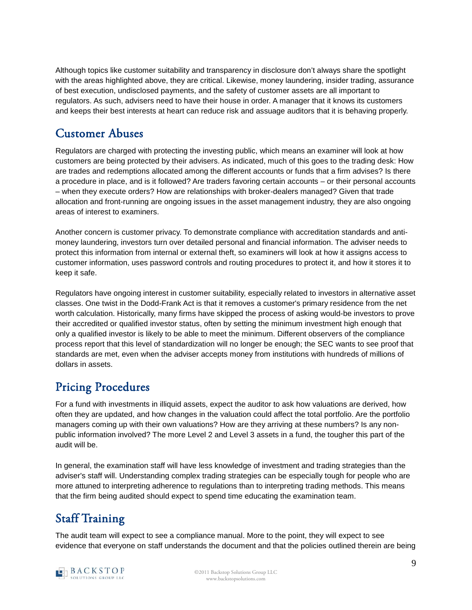Although topics like customer suitability and transparency in disclosure don't always share the spotlight with the areas highlighted above, they are critical. Likewise, money laundering, insider trading, assurance of best execution, undisclosed payments, and the safety of customer assets are all important to regulators. As such, advisers need to have their house in order. A manager that it knows its customers and keeps their best interests at heart can reduce risk and assuage auditors that it is behaving properly.

#### Customer Abuses

<span id="page-8-0"></span>Regulators are charged with protecting the investing public, which means an examiner will look at how customers are being protected by their advisers. As indicated, much of this goes to the trading desk: How are trades and redemptions allocated among the different accounts or funds that a firm advises? Is there a procedure in place, and is it followed? Are traders favoring certain accounts – or their personal accounts – when they execute orders? How are relationships with broker-dealers managed? Given that trade allocation and front-running are ongoing issues in the asset management industry, they are also ongoing areas of interest to examiners.

Another concern is customer privacy. To demonstrate compliance with accreditation standards and antimoney laundering, investors turn over detailed personal and financial information. The adviser needs to protect this information from internal or external theft, so examiners will look at how it assigns access to customer information, uses password controls and routing procedures to protect it, and how it stores it to keep it safe.

Regulators have ongoing interest in customer suitability, especially related to investors in alternative asset classes. One twist in the Dodd-Frank Act is that it removes a customer's primary residence from the net worth calculation. Historically, many firms have skipped the process of asking would-be investors to prove their accredited or qualified investor status, often by setting the minimum investment high enough that only a qualified investor is likely to be able to meet the minimum. Different observers of the compliance process report that this level of standardization will no longer be enough; the SEC wants to see proof that standards are met, even when the adviser accepts money from institutions with hundreds of millions of dollars in assets.

#### Pricing Procedures

<span id="page-8-1"></span>For a fund with investments in illiquid assets, expect the auditor to ask how valuations are derived, how often they are updated, and how changes in the valuation could affect the total portfolio. Are the portfolio managers coming up with their own valuations? How are they arriving at these numbers? Is any nonpublic information involved? The more Level 2 and Level 3 assets in a fund, the tougher this part of the audit will be.

In general, the examination staff will have less knowledge of investment and trading strategies than the adviser's staff will. Understanding complex trading strategies can be especially tough for people who are more attuned to interpreting adherence to regulations than to interpreting trading methods. This means that the firm being audited should expect to spend time educating the examination team.

### Staff Training

The audit team will expect to see a compliance manual. More to the point, they will expect to see evidence that everyone on staff understands the document and that the policies outlined therein are being

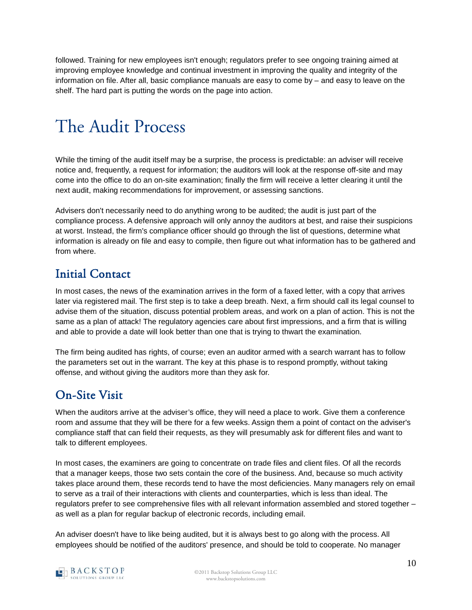followed. Training for new employees isn't enough; regulators prefer to see ongoing training aimed at improving employee knowledge and continual investment in improving the quality and integrity of the information on file. After all, basic compliance manuals are easy to come by – and easy to leave on the shelf. The hard part is putting the words on the page into action.

# <span id="page-9-0"></span>The Audit Process

<span id="page-9-1"></span>While the timing of the audit itself may be a surprise, the process is predictable: an adviser will receive notice and, frequently, a request for information; the auditors will look at the response off-site and may come into the office to do an on-site examination; finally the firm will receive a letter clearing it until the next audit, making recommendations for improvement, or assessing sanctions.

Advisers don't necessarily need to do anything wrong to be audited; the audit is just part of the compliance process. A defensive approach will only annoy the auditors at best, and raise their suspicions at worst. Instead, the firm's compliance officer should go through the list of questions, determine what information is already on file and easy to compile, then figure out what information has to be gathered and from where.

#### Initial Contact

In most cases, the news of the examination arrives in the form of a faxed letter, with a copy that arrives later via registered mail. The first step is to take a deep breath. Next, a firm should call its legal counsel to advise them of the situation, discuss potential problem areas, and work on a plan of action. This is not the same as a plan of attack! The regulatory agencies care about first impressions, and a firm that is willing and able to provide a date will look better than one that is trying to thwart the examination.

The firm being audited has rights, of course; even an auditor armed with a search warrant has to follow the parameters set out in the warrant. The key at this phase is to respond promptly, without taking offense, and without giving the auditors more than they ask for.

#### <span id="page-9-2"></span>On-Site Visit

When the auditors arrive at the adviser's office, they will need a place to work. Give them a conference room and assume that they will be there for a few weeks. Assign them a point of contact on the adviser's compliance staff that can field their requests, as they will presumably ask for different files and want to talk to different employees.

In most cases, the examiners are going to concentrate on trade files and client files. Of all the records that a manager keeps, those two sets contain the core of the business. And, because so much activity takes place around them, these records tend to have the most deficiencies. Many managers rely on email to serve as a trail of their interactions with clients and counterparties, which is less than ideal. The regulators prefer to see comprehensive files with all relevant information assembled and stored together – as well as a plan for regular backup of electronic records, including email.

An adviser doesn't have to like being audited, but it is always best to go along with the process. All employees should be notified of the auditors' presence, and should be told to cooperate. No manager

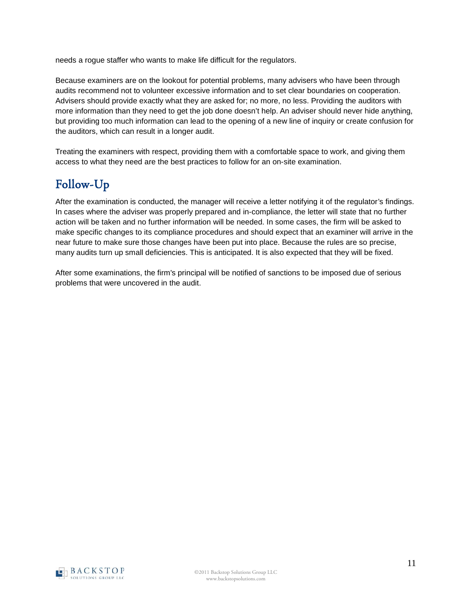needs a rogue staffer who wants to make life difficult for the regulators.

Because examiners are on the lookout for potential problems, many advisers who have been through audits recommend not to volunteer excessive information and to set clear boundaries on cooperation. Advisers should provide exactly what they are asked for; no more, no less. Providing the auditors with more information than they need to get the job done doesn't help. An adviser should never hide anything, but providing too much information can lead to the opening of a new line of inquiry or create confusion for the auditors, which can result in a longer audit.

Treating the examiners with respect, providing them with a comfortable space to work, and giving them access to what they need are the best practices to follow for an on-site examination.

### <span id="page-10-0"></span>Follow-Up

After the examination is conducted, the manager will receive a letter notifying it of the regulator's findings. In cases where the adviser was properly prepared and in-compliance, the letter will state that no further action will be taken and no further information will be needed. In some cases, the firm will be asked to make specific changes to its compliance procedures and should expect that an examiner will arrive in the near future to make sure those changes have been put into place. Because the rules are so precise, many audits turn up small deficiencies. This is anticipated. It is also expected that they will be fixed.

After some examinations, the firm's principal will be notified of sanctions to be imposed due of serious problems that were uncovered in the audit.

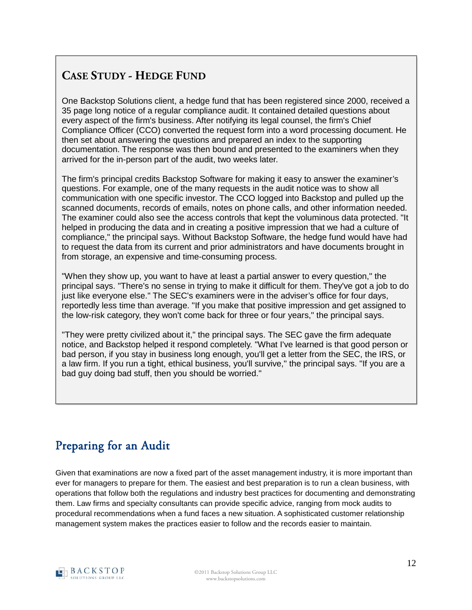#### **CASE STUDY - HEDGE FUND**

One Backstop Solutions client, a hedge fund that has been registered since 2000, received a 35 page long notice of a regular compliance audit. It contained detailed questions about every aspect of the firm's business. After notifying its legal counsel, the firm's Chief Compliance Officer (CCO) converted the request form into a word processing document. He then set about answering the questions and prepared an index to the supporting documentation. The response was then bound and presented to the examiners when they arrived for the in-person part of the audit, two weeks later.

The firm's principal credits Backstop Software for making it easy to answer the examiner's questions. For example, one of the many requests in the audit notice was to show all communication with one specific investor. The CCO logged into Backstop and pulled up the scanned documents, records of emails, notes on phone calls, and other information needed. The examiner could also see the access controls that kept the voluminous data protected. "It helped in producing the data and in creating a positive impression that we had a culture of compliance," the principal says. Without Backstop Software, the hedge fund would have had to request the data from its current and prior administrators and have documents brought in from storage, an expensive and time-consuming process.

"When they show up, you want to have at least a partial answer to every question," the principal says. "There's no sense in trying to make it difficult for them. They've got a job to do just like everyone else." The SEC's examiners were in the adviser's office for four days, reportedly less time than average. "If you make that positive impression and get assigned to the low-risk category, they won't come back for three or four years," the principal says.

"They were pretty civilized about it," the principal says. The SEC gave the firm adequate notice, and Backstop helped it respond completely. "What I've learned is that good person or bad person, if you stay in business long enough, you'll get a letter from the SEC, the IRS, or a law firm. If you run a tight, ethical business, you'll survive," the principal says. "If you are a bad guy doing bad stuff, then you should be worried."

#### <span id="page-11-0"></span>Preparing for an Audit

<span id="page-11-1"></span>Given that examinations are now a fixed part of the asset management industry, it is more important than ever for managers to prepare for them. The easiest and best preparation is to run a clean business, with operations that follow both the regulations and industry best practices for documenting and demonstrating them. Law firms and specialty consultants can provide specific advice, ranging from mock audits to procedural recommendations when a fund faces a new situation. A sophisticated customer relationship management system makes the practices easier to follow and the records easier to maintain.

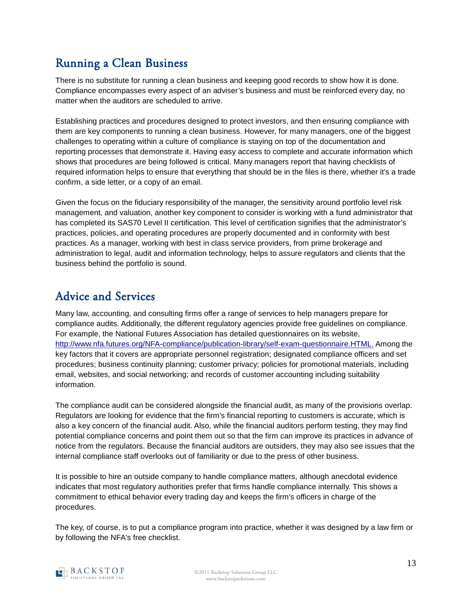### Running a Clean Business

<span id="page-12-0"></span>There is no substitute for running a clean business and keeping good records to show how it is done. Compliance encompasses every aspect of an adviser's business and must be reinforced every day, no matter when the auditors are scheduled to arrive.

Establishing practices and procedures designed to protect investors, and then ensuring compliance with them are key components to running a clean business. However, for many managers, one of the biggest challenges to operating within a culture of compliance is staying on top of the documentation and reporting processes that demonstrate it. Having easy access to complete and accurate information which shows that procedures are being followed is critical. Many managers report that having checklists of required information helps to ensure that everything that should be in the files is there, whether it's a trade confirm, a side letter, or a copy of an email.

Given the focus on the fiduciary responsibility of the manager, the sensitivity around portfolio level risk management, and valuation, another key component to consider is working with a fund administrator that has completed its SAS70 Level II certification. This level of certification signifies that the administrator's practices, policies, and operating procedures are properly documented and in conformity with best practices. As a manager, working with best in class service providers, from prime brokerage and administration to legal, audit and information technology, helps to assure regulators and clients that the business behind the portfolio is sound.

#### Advice and Services

Many law, accounting, and consulting firms offer a range of services to help managers prepare for compliance audits. Additionally, the different regulatory agencies provide free guidelines on compliance. For example, the National Futures Association has detailed questionnaires on its website, <http://www.nfa.futures.org/NFA-compliance/publication-library/self-exam-questionnaire.HTML.> Among the key factors that it covers are appropriate personnel registration; designated compliance officers and set procedures; business continuity planning; customer privacy; policies for promotional materials, including email, websites, and social networking; and records of customer accounting including suitability information.

The compliance audit can be considered alongside the financial audit, as many of the provisions overlap. Regulators are looking for evidence that the firm's financial reporting to customers is accurate, which is also a key concern of the financial audit. Also, while the financial auditors perform testing, they may find potential compliance concerns and point them out so that the firm can improve its practices in advance of notice from the regulators. Because the financial auditors are outsiders, they may also see issues that the internal compliance staff overlooks out of familiarity or due to the press of other business.

It is possible to hire an outside company to handle compliance matters, although anecdotal evidence indicates that most regulatory authorities prefer that firms handle compliance internally. This shows a commitment to ethical behavior every trading day and keeps the firm's officers in charge of the procedures.

The key, of course, is to put a compliance program into practice, whether it was designed by a law firm or by following the NFA's free checklist.

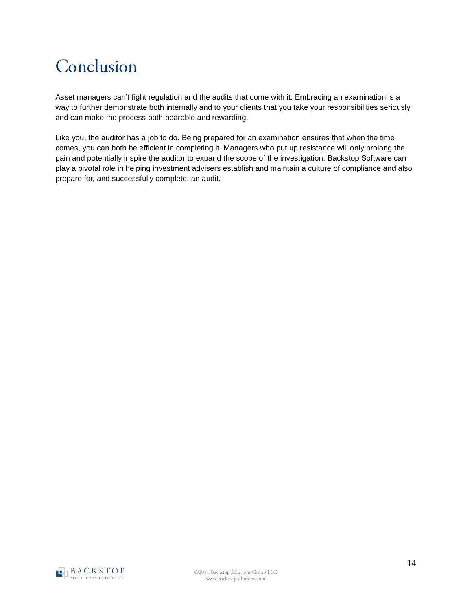## <span id="page-13-0"></span>Conclusion

Asset managers can't fight regulation and the audits that come with it. Embracing an examination is a way to further demonstrate both internally and to your clients that you take your responsibilities seriously and can make the process both bearable and rewarding.

Like you, the auditor has a job to do. Being prepared for an examination ensures that when the time comes, you can both be efficient in completing it. Managers who put up resistance will only prolong the pain and potentially inspire the auditor to expand the scope of the investigation. Backstop Software can play a pivotal role in helping investment advisers establish and maintain a culture of compliance and also prepare for, and successfully complete, an audit.